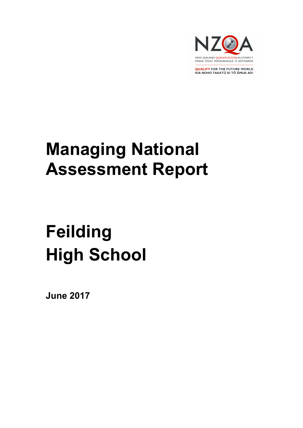

**QUALIFY FOR THE FUTURE WORLD** KIA NOHO TAKATŪ KI TŌ ĀMUA AO!

# Managing National Assessment Report

# Feilding High School

June 2017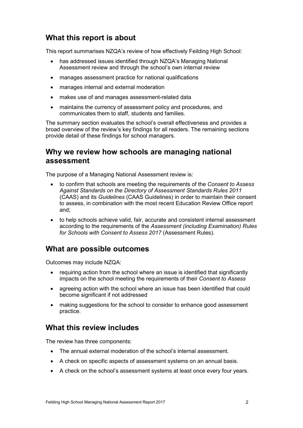# What this report is about

This report summarises NZQA's review of how effectively Feilding High School:

- has addressed issues identified through NZQA's Managing National Assessment review and through the school's own internal review
- manages assessment practice for national qualifications
- manages internal and external moderation
- makes use of and manages assessment-related data
- maintains the currency of assessment policy and procedures, and communicates them to staff, students and families.

The summary section evaluates the school's overall effectiveness and provides a broad overview of the review's key findings for all readers. The remaining sections provide detail of these findings for school managers.

# Why we review how schools are managing national assessment

The purpose of a Managing National Assessment review is:

- to confirm that schools are meeting the requirements of the Consent to Assess Against Standards on the Directory of Assessment Standards Rules 2011 (CAAS) and its Guidelines (CAAS Guidelines) in order to maintain their consent to assess, in combination with the most recent Education Review Office report and;
- to help schools achieve valid, fair, accurate and consistent internal assessment according to the requirements of the Assessment (including Examination) Rules for Schools with Consent to Assess 2017 (Assessment Rules).

# What are possible outcomes

Outcomes may include NZQA:

- requiring action from the school where an issue is identified that significantly impacts on the school meeting the requirements of their Consent to Assess
- agreeing action with the school where an issue has been identified that could become significant if not addressed
- making suggestions for the school to consider to enhance good assessment practice.

# What this review includes

The review has three components:

- The annual external moderation of the school's internal assessment.
- A check on specific aspects of assessment systems on an annual basis.
- A check on the school's assessment systems at least once every four years.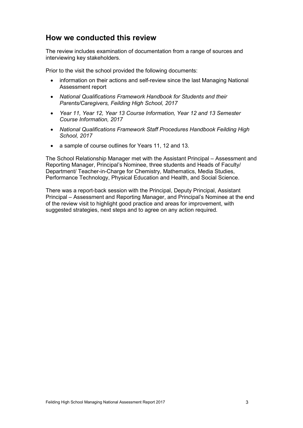# How we conducted this review

The review includes examination of documentation from a range of sources and interviewing key stakeholders.

Prior to the visit the school provided the following documents:

- information on their actions and self-review since the last Managing National Assessment report
- National Qualifications Framework Handbook for Students and their Parents/Caregivers, Feilding High School, 2017
- Year 11, Year 12, Year 13 Course Information, Year 12 and 13 Semester Course Information, 2017
- National Qualifications Framework Staff Procedures Handbook Feilding High School, 2017
- a sample of course outlines for Years 11, 12 and 13.

The School Relationship Manager met with the Assistant Principal – Assessment and Reporting Manager, Principal's Nominee, three students and Heads of Faculty/ Department/ Teacher-in-Charge for Chemistry, Mathematics, Media Studies, Performance Technology, Physical Education and Health, and Social Science.

There was a report-back session with the Principal, Deputy Principal, Assistant Principal – Assessment and Reporting Manager, and Principal's Nominee at the end of the review visit to highlight good practice and areas for improvement, with suggested strategies, next steps and to agree on any action required.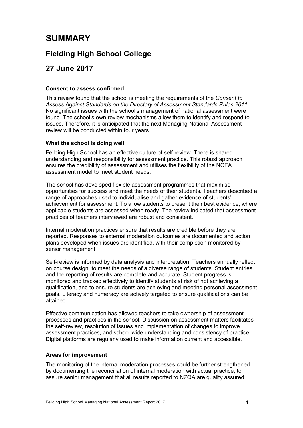# SUMMARY

# Fielding High School College

# 27 June 2017

## Consent to assess confirmed

This review found that the school is meeting the requirements of the Consent to Assess Against Standards on the Directory of Assessment Standards Rules 2011. No significant issues with the school's management of national assessment were found. The school's own review mechanisms allow them to identify and respond to issues. Therefore, it is anticipated that the next Managing National Assessment review will be conducted within four years.

## What the school is doing well

Feilding High School has an effective culture of self-review. There is shared understanding and responsibility for assessment practice. This robust approach ensures the credibility of assessment and utilises the flexibility of the NCEA assessment model to meet student needs.

The school has developed flexible assessment programmes that maximise opportunities for success and meet the needs of their students. Teachers described a range of approaches used to individualise and gather evidence of students' achievement for assessment. To allow students to present their best evidence, where applicable students are assessed when ready. The review indicated that assessment practices of teachers interviewed are robust and consistent.

Internal moderation practices ensure that results are credible before they are reported. Responses to external moderation outcomes are documented and action plans developed when issues are identified, with their completion monitored by senior management.

Self-review is informed by data analysis and interpretation. Teachers annually reflect on course design, to meet the needs of a diverse range of students. Student entries and the reporting of results are complete and accurate. Student progress is monitored and tracked effectively to identify students at risk of not achieving a qualification, and to ensure students are achieving and meeting personal assessment goals. Literacy and numeracy are actively targeted to ensure qualifications can be attained.

Effective communication has allowed teachers to take ownership of assessment processes and practices in the school. Discussion on assessment matters facilitates the self-review, resolution of issues and implementation of changes to improve assessment practices, and school-wide understanding and consistency of practice. Digital platforms are regularly used to make information current and accessible.

## Areas for improvement

The monitoring of the internal moderation processes could be further strengthened by documenting the reconciliation of internal moderation with actual practice, to assure senior management that all results reported to NZQA are quality assured.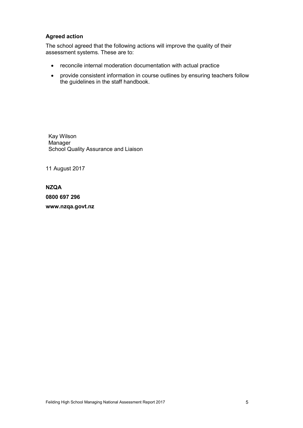## Agreed action

The school agreed that the following actions will improve the quality of their assessment systems. These are to:

- reconcile internal moderation documentation with actual practice
- provide consistent information in course outlines by ensuring teachers follow the guidelines in the staff handbook.

Kay Wilson Manager School Quality Assurance and Liaison

11 August 2017

## NZQA

0800 697 296

www.nzqa.govt.nz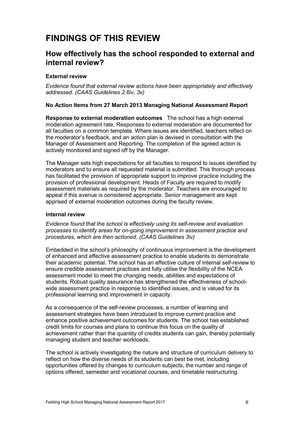# FINDINGS OF THIS REVIEW

# How effectively has the school responded to external and internal review?

## External review

Evidence found that external review actions have been appropriately and effectively addressed. (CAAS Guidelines 2.6iv, 3v)

## No Action Items from 27 March 2013 Managing National Assessment Report

Response to external moderation outcomes The school has a high external moderation agreement rate. Responses to external moderation are documented for all faculties on a common template. Where issues are identified, teachers reflect on the moderator's feedback, and an action plan is devised in consultation with the Manager of Assessment and Reporting. The completion of the agreed action is actively monitored and signed off by the Manager.

The Manager sets high expectations for all faculties to respond to issues identified by moderators and to ensure all requested material is submitted. This thorough process has facilitated the provision of appropriate support to improve practice including the provision of professional development. Heads of Faculty are required to modify assessment materials as required by the moderator. Teachers are encouraged to appeal if this avenue is considered appropriate. Senior management are kept apprised of external moderation outcomes during the faculty review.

#### Internal review

Evidence found that the school is effectively using its self-review and evaluation processes to identify areas for on-going improvement in assessment practice and procedures, which are then actioned. (CAAS Guidelines 3iv)

Embedded in the school's philosophy of continuous improvement is the development of enhanced and effective assessment practice to enable students to demonstrate their academic potential. The school has an effective culture of internal self-review to ensure credible assessment practices and fully utilise the flexibility of the NCEA assessment model to meet the changing needs, abilities and expectations of students. Robust quality assurance has strengthened the effectiveness of schoolwide assessment practice in response to identified issues, and is valued for its professional learning and improvement in capacity.

As a consequence of the self-review processes, a number of learning and assessment strategies have been introduced to improve current practice and enhance positive achievement outcomes for students. The school has established credit limits for courses and plans to continue this focus on the quality of achievement rather than the quantity of credits students can gain, thereby potentially managing student and teacher workloads.

The school is actively investigating the nature and structure of curriculum delivery to reflect on how the diverse needs of its students can best be met, including opportunities offered by changes to curriculum subjects, the number and range of options offered, semester and vocational courses, and timetable restructuring.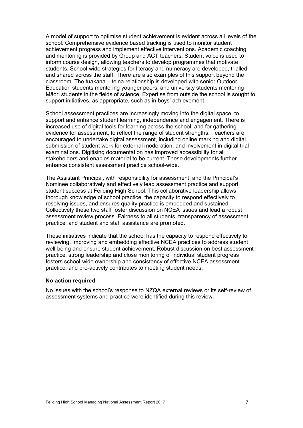A model of support to optimise student achievement is evident across all levels of the school. Comprehensive evidence based tracking is used to monitor student achievement progress and implement effective interventions. Academic coaching and mentoring is provided by Group and ACT teachers. Student voice is used to inform course design, allowing teachers to develop programmes that motivate students. School-wide strategies for literacy and numeracy are developed, trialled and shared across the staff. There are also examples of this support beyond the classroom. The tuakana – teina relationship is developed with senior Outdoor Education students mentoring younger peers, and university students mentoring Māori students in the fields of science. Expertise from outside the school is sought to support initiatives, as appropriate, such as in boys' achievement.

School assessment practices are increasingly moving into the digital space, to support and enhance student learning, independence and engagement. There is increased use of digital tools for learning across the school, and for gathering evidence for assessment, to reflect the range of student strengths. Teachers are encouraged to undertake digital assessment, including online marking and digital submission of student work for external moderation, and involvement in digital trial examinations. Digitising documentation has improved accessibility for all stakeholders and enables material to be current. These developments further enhance consistent assessment practice school-wide.

The Assistant Principal, with responsibility for assessment, and the Principal's Nominee collaboratively and effectively lead assessment practice and support student success at Feilding High School. This collaborative leadership allows thorough knowledge of school practice, the capacity to respond effectively to resolving issues, and ensures quality practice is embedded and sustained. Collectively these two staff foster discussion on NCEA issues and lead a robust assessment review process. Fairness to all students, transparency of assessment practice, and student and staff assistance are promoted.

These initiatives indicate that the school has the capacity to respond effectively to reviewing, improving and embedding effective NCEA practices to address student well-being and ensure student achievement. Robust discussion on best assessment practice, strong leadership and close monitoring of individual student progress fosters school-wide ownership and consistency of effective NCEA assessment practice, and pro-actively contributes to meeting student needs.

#### No action required

No issues with the school's response to NZQA external reviews or its self-review of assessment systems and practice were identified during this review.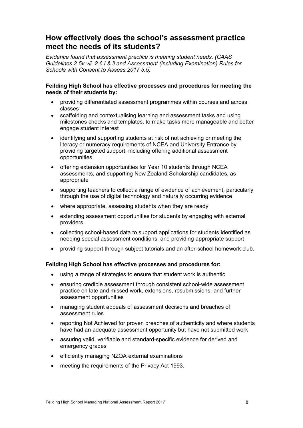# How effectively does the school's assessment practice meet the needs of its students?

Evidence found that assessment practice is meeting student needs. (CAAS Guidelines 2.5v-vii, 2.6 I & ii and Assessment (including Examination) Rules for Schools with Consent to Assess 2017 5.5)

## Feilding High School has effective processes and procedures for meeting the needs of their students by:

- providing differentiated assessment programmes within courses and across classes
- scaffolding and contextualising learning and assessment tasks and using milestones checks and templates, to make tasks more manageable and better engage student interest
- identifying and supporting students at risk of not achieving or meeting the literacy or numeracy requirements of NCEA and University Entrance by providing targeted support, including offering additional assessment opportunities
- offering extension opportunities for Year 10 students through NCEA assessments, and supporting New Zealand Scholarship candidates, as appropriate
- supporting teachers to collect a range of evidence of achievement, particularly through the use of digital technology and naturally occurring evidence
- where appropriate, assessing students when they are ready
- extending assessment opportunities for students by engaging with external providers
- collecting school-based data to support applications for students identified as needing special assessment conditions, and providing appropriate support
- providing support through subject tutorials and an after-school homework club.

#### Feilding High School has effective processes and procedures for:

- using a range of strategies to ensure that student work is authentic
- ensuring credible assessment through consistent school-wide assessment practice on late and missed work, extensions, resubmissions, and further assessment opportunities
- managing student appeals of assessment decisions and breaches of assessment rules
- reporting Not Achieved for proven breaches of authenticity and where students have had an adequate assessment opportunity but have not submitted work
- assuring valid, verifiable and standard-specific evidence for derived and emergency grades
- efficiently managing NZQA external examinations
- meeting the requirements of the Privacy Act 1993.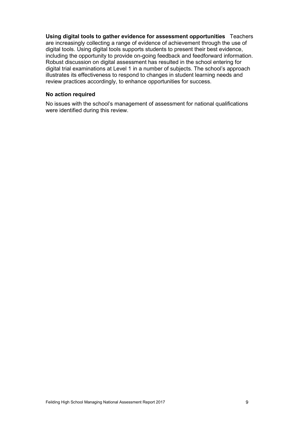Using digital tools to gather evidence for assessment opportunities Teachers are increasingly collecting a range of evidence of achievement through the use of digital tools. Using digital tools supports students to present their best evidence, including the opportunity to provide on-going feedback and feedforward information. Robust discussion on digital assessment has resulted in the school entering for digital trial examinations at Level 1 in a number of subjects. The school's approach illustrates its effectiveness to respond to changes in student learning needs and review practices accordingly, to enhance opportunities for success.

#### No action required

No issues with the school's management of assessment for national qualifications were identified during this review.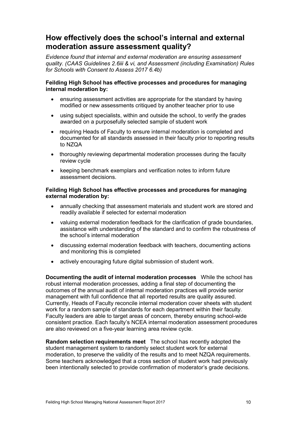# How effectively does the school's internal and external moderation assure assessment quality?

Evidence found that internal and external moderation are ensuring assessment quality. (CAAS Guidelines 2.6iii & vi, and Assessment (including Examination) Rules for Schools with Consent to Assess 2017 6.4b)

## Feilding High School has effective processes and procedures for managing internal moderation by:

- ensuring assessment activities are appropriate for the standard by having modified or new assessments critiqued by another teacher prior to use
- using subject specialists, within and outside the school, to verify the grades awarded on a purposefully selected sample of student work
- requiring Heads of Faculty to ensure internal moderation is completed and documented for all standards assessed in their faculty prior to reporting results to NZQA
- thoroughly reviewing departmental moderation processes during the faculty review cycle
- keeping benchmark exemplars and verification notes to inform future assessment decisions.

## Feilding High School has effective processes and procedures for managing external moderation by:

- annually checking that assessment materials and student work are stored and readily available if selected for external moderation
- valuing external moderation feedback for the clarification of grade boundaries, assistance with understanding of the standard and to confirm the robustness of the school's internal moderation
- discussing external moderation feedback with teachers, documenting actions and monitoring this is completed
- actively encouraging future digital submission of student work.

Documenting the audit of internal moderation processes While the school has robust internal moderation processes, adding a final step of documenting the outcomes of the annual audit of internal moderation practices will provide senior management with full confidence that all reported results are quality assured. Currently, Heads of Faculty reconcile internal moderation cover sheets with student work for a random sample of standards for each department within their faculty. Faculty leaders are able to target areas of concern, thereby ensuring school-wide consistent practice. Each faculty's NCEA internal moderation assessment procedures are also reviewed on a five-year learning area review cycle.

Random selection requirements meet The school has recently adopted the student management system to randomly select student work for external moderation, to preserve the validity of the results and to meet NZQA requirements. Some teachers acknowledged that a cross section of student work had previously been intentionally selected to provide confirmation of moderator's grade decisions.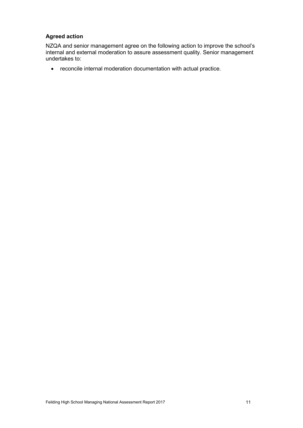## Agreed action

NZQA and senior management agree on the following action to improve the school's internal and external moderation to assure assessment quality. Senior management undertakes to:

reconcile internal moderation documentation with actual practice.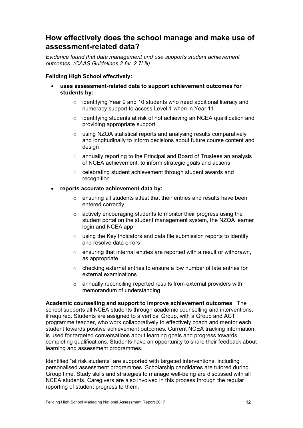# How effectively does the school manage and make use of assessment-related data?

Evidence found that data management and use supports student achievement outcomes. (CAAS Guidelines 2.6v, 2.7i-iii)

## Feilding High School effectively:

- uses assessment-related data to support achievement outcomes for students by:
	- o identifying Year 9 and 10 students who need additional literacy and numeracy support to access Level 1 when in Year 11
	- $\circ$  identifying students at risk of not achieving an NCEA qualification and providing appropriate support
	- o using NZQA statistical reports and analysing results comparatively and longitudinally to inform decisions about future course content and design
	- o annually reporting to the Principal and Board of Trustees an analysis of NCEA achievement, to inform strategic goals and actions
	- o celebrating student achievement through student awards and recognition.

## reports accurate achievement data by:

- o ensuring all students attest that their entries and results have been entered correctly
- o actively encouraging students to monitor their progress using the student portal on the student management system, the NZQA learner login and NCEA app
- o using the Key Indicators and data file submission reports to identify and resolve data errors
- o ensuring that internal entries are reported with a result or withdrawn, as appropriate
- o checking external entries to ensure a low number of late entries for external examinations
- o annually reconciling reported results from external providers with memorandum of understanding.

Academic counselling and support to improve achievement outcomes The school supports all NCEA students through academic counselling and interventions, if required. Students are assigned to a vertical Group, with a Group and ACT programme teacher, who work collaboratively to effectively coach and mentor each student towards positive achievement outcomes. Current NCEA tracking information is used for targeted conversations about learning goals and progress towards completing qualifications. Students have an opportunity to share their feedback about learning and assessment programmes.

Identified "at risk students" are supported with targeted interventions, including personalised assessment programmes. Scholarship candidates are tutored during Group time. Study skills and strategies to manage well-being are discussed with all NCEA students. Caregivers are also involved in this process through the regular reporting of student progress to them.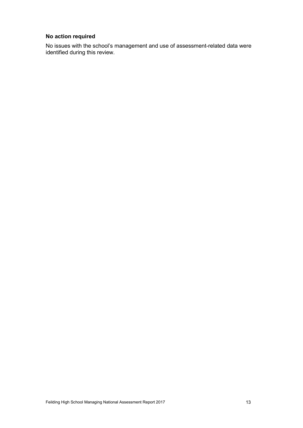# No action required

No issues with the school's management and use of assessment-related data were identified during this review.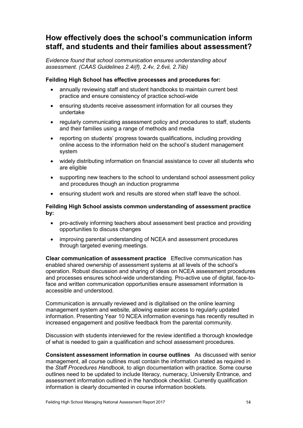# How effectively does the school's communication inform staff, and students and their families about assessment?

Evidence found that school communication ensures understanding about assessment. (CAAS Guidelines 2.4i(f), 2.4v, 2.6vii, 2.7iib)

## Feilding High School has effective processes and procedures for:

- annually reviewing staff and student handbooks to maintain current best practice and ensure consistency of practice school-wide
- ensuring students receive assessment information for all courses they undertake
- regularly communicating assessment policy and procedures to staff, students and their families using a range of methods and media
- reporting on students' progress towards qualifications, including providing online access to the information held on the school's student management system
- widely distributing information on financial assistance to cover all students who are eligible
- supporting new teachers to the school to understand school assessment policy and procedures though an induction programme
- ensuring student work and results are stored when staff leave the school.

## Feilding High School assists common understanding of assessment practice by:

- pro-actively informing teachers about assessment best practice and providing opportunities to discuss changes
- improving parental understanding of NCEA and assessment procedures through targeted evening meetings.

Clear communication of assessment practice Effective communication has enabled shared ownership of assessment systems at all levels of the school's operation. Robust discussion and sharing of ideas on NCEA assessment procedures and processes ensures school-wide understanding. Pro-active use of digital, face-toface and written communication opportunities ensure assessment information is accessible and understood.

Communication is annually reviewed and is digitalised on the online learning management system and website, allowing easier access to regularly updated information. Presenting Year 10 NCEA information evenings has recently resulted in increased engagement and positive feedback from the parental community.

Discussion with students interviewed for the review identified a thorough knowledge of what is needed to gain a qualification and school assessment procedures.

Consistent assessment information in course outlines As discussed with senior management, all course outlines must contain the information stated as required in the Staff Procedures Handbook, to align documentation with practice. Some course outlines need to be updated to include literacy, numeracy, University Entrance, and assessment information outlined in the handbook checklist. Currently qualification information is clearly documented in course information booklets.